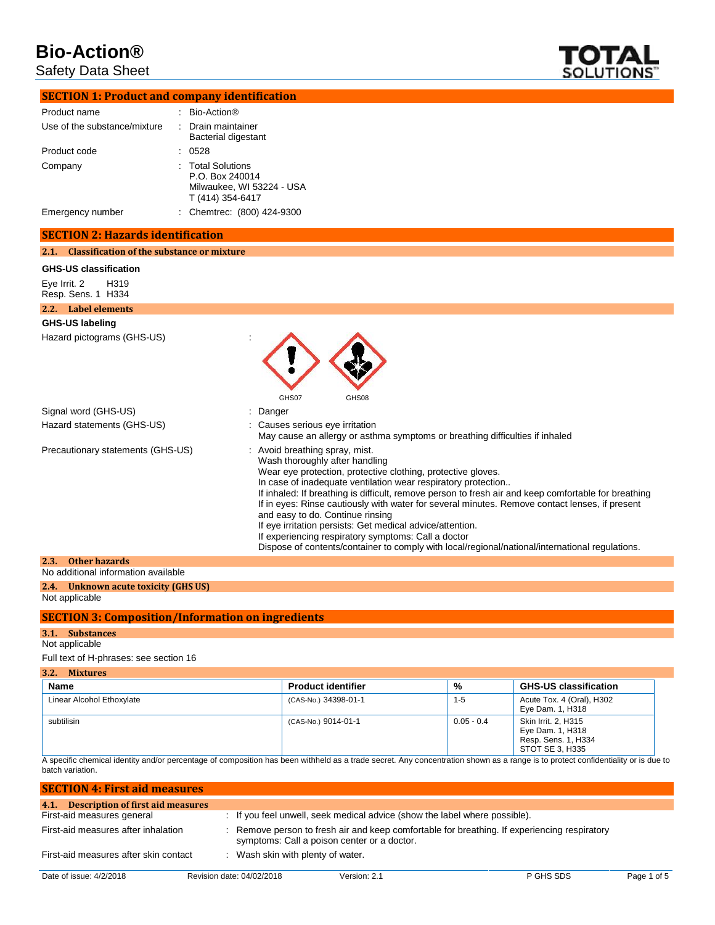Safety Data Sheet



| <b>SECTION 1: Product and company identification</b> |                                                                                                                                                                                                                                                                                                                                                                                                                                                                                                                                                                                                                                                                      |
|------------------------------------------------------|----------------------------------------------------------------------------------------------------------------------------------------------------------------------------------------------------------------------------------------------------------------------------------------------------------------------------------------------------------------------------------------------------------------------------------------------------------------------------------------------------------------------------------------------------------------------------------------------------------------------------------------------------------------------|
| Product name                                         | : Bio-Action®                                                                                                                                                                                                                                                                                                                                                                                                                                                                                                                                                                                                                                                        |
| Use of the substance/mixture                         | Drain maintainer<br><b>Bacterial digestant</b>                                                                                                                                                                                                                                                                                                                                                                                                                                                                                                                                                                                                                       |
| Product code                                         | 0528                                                                                                                                                                                                                                                                                                                                                                                                                                                                                                                                                                                                                                                                 |
| Company                                              | <b>Total Solutions</b><br>P.O. Box 240014<br>Milwaukee, WI 53224 - USA<br>T (414) 354-6417                                                                                                                                                                                                                                                                                                                                                                                                                                                                                                                                                                           |
| Emergency number                                     | : Chemtrec: (800) 424-9300                                                                                                                                                                                                                                                                                                                                                                                                                                                                                                                                                                                                                                           |
| <b>SECTION 2: Hazards identification</b>             |                                                                                                                                                                                                                                                                                                                                                                                                                                                                                                                                                                                                                                                                      |
| 2.1. Classification of the substance or mixture      |                                                                                                                                                                                                                                                                                                                                                                                                                                                                                                                                                                                                                                                                      |
| <b>GHS-US classification</b>                         |                                                                                                                                                                                                                                                                                                                                                                                                                                                                                                                                                                                                                                                                      |
| H319<br>Eye Irrit. 2<br>Resp. Sens. 1 H334           |                                                                                                                                                                                                                                                                                                                                                                                                                                                                                                                                                                                                                                                                      |
| 2.2. Label elements                                  |                                                                                                                                                                                                                                                                                                                                                                                                                                                                                                                                                                                                                                                                      |
| <b>GHS-US labeling</b>                               |                                                                                                                                                                                                                                                                                                                                                                                                                                                                                                                                                                                                                                                                      |
| Hazard pictograms (GHS-US)                           |                                                                                                                                                                                                                                                                                                                                                                                                                                                                                                                                                                                                                                                                      |
|                                                      | GHS07<br>GHS08                                                                                                                                                                                                                                                                                                                                                                                                                                                                                                                                                                                                                                                       |
| Signal word (GHS-US)                                 | Danger                                                                                                                                                                                                                                                                                                                                                                                                                                                                                                                                                                                                                                                               |
| Hazard statements (GHS-US)                           | Causes serious eye irritation<br>May cause an allergy or asthma symptoms or breathing difficulties if inhaled                                                                                                                                                                                                                                                                                                                                                                                                                                                                                                                                                        |
| Precautionary statements (GHS-US)                    | Avoid breathing spray, mist.<br>Wash thoroughly after handling<br>Wear eye protection, protective clothing, protective gloves.<br>In case of inadequate ventilation wear respiratory protection<br>If inhaled: If breathing is difficult, remove person to fresh air and keep comfortable for breathing<br>If in eyes: Rinse cautiously with water for several minutes. Remove contact lenses, if present<br>and easy to do. Continue rinsing<br>If eye irritation persists: Get medical advice/attention.<br>If experiencing respiratory symptoms: Call a doctor<br>Dispose of contents/container to comply with local/regional/national/international regulations. |
| <b>Other hazards</b><br>2.3.                         |                                                                                                                                                                                                                                                                                                                                                                                                                                                                                                                                                                                                                                                                      |
| No additional information available                  |                                                                                                                                                                                                                                                                                                                                                                                                                                                                                                                                                                                                                                                                      |

#### **2.4. Unknown acute toxicity (GHS US)**

Not applicable

#### **SECTION 3: Composition/Information on ingredients**

#### **3.1. Substances**

#### Not applicable

Full text of H-phrases: see section 16

| 3.2.<br><b>Mixtures</b>   |                           |              |                                                                                   |
|---------------------------|---------------------------|--------------|-----------------------------------------------------------------------------------|
| Name                      | <b>Product identifier</b> | %            | <b>GHS-US classification</b>                                                      |
| Linear Alcohol Ethoxylate | (CAS-No.) 34398-01-1      | $1 - 5$      | Acute Tox. 4 (Oral), H302<br>Eye Dam. 1, H318                                     |
| subtilisin                | (CAS-No.) 9014-01-1       | $0.05 - 0.4$ | Skin Irrit. 2. H315<br>Eye Dam. 1, H318<br>Resp. Sens. 1, H334<br>STOT SE 3, H335 |

A specific chemical identity and/or percentage of composition has been withheld as a trade secret. Any concentration shown as a range is to protect confidentiality or is due to batch variation.

| <b>SECTION 4: First aid measures</b>   |                                             |                                                                            |                                                                                              |             |
|----------------------------------------|---------------------------------------------|----------------------------------------------------------------------------|----------------------------------------------------------------------------------------------|-------------|
| 4.1. Description of first aid measures |                                             |                                                                            |                                                                                              |             |
| First-aid measures general             |                                             | : If you feel unwell, seek medical advice (show the label where possible). |                                                                                              |             |
| First-aid measures after inhalation    | symptoms: Call a poison center or a doctor. |                                                                            | : Remove person to fresh air and keep comfortable for breathing. If experiencing respiratory |             |
| First-aid measures after skin contact  | : Wash skin with plenty of water.           |                                                                            |                                                                                              |             |
| Date of issue: 4/2/2018                | Revision date: 04/02/2018                   | Version: 2.1                                                               | P GHS SDS                                                                                    | Page 1 of 5 |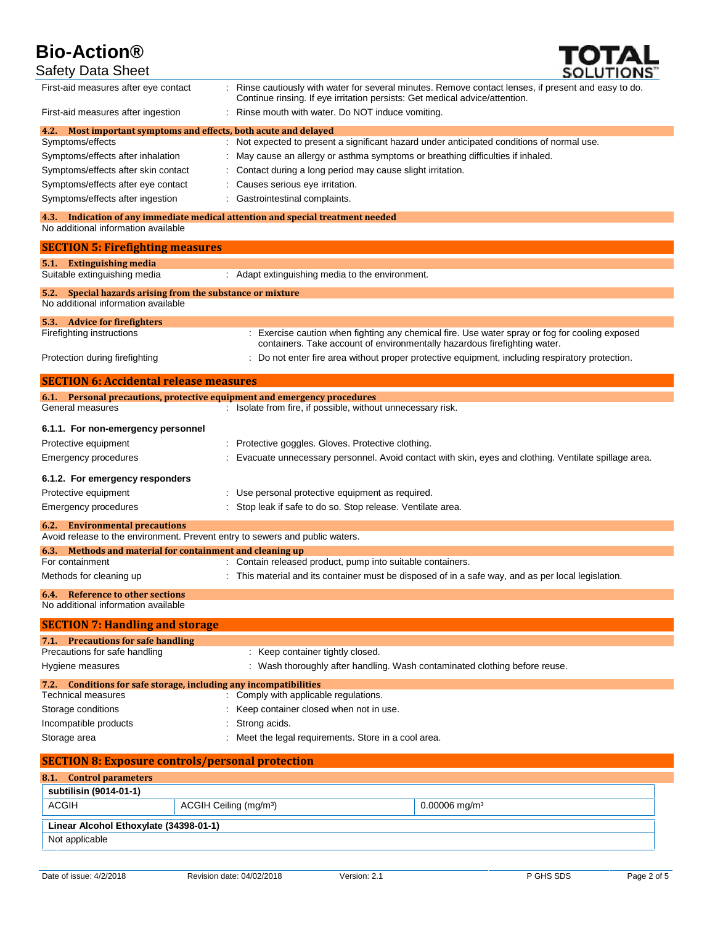

| <b>Safety Data Sheet</b>                                                                             | <b>SOLUTIONS</b>                                                                                                                                                                  |
|------------------------------------------------------------------------------------------------------|-----------------------------------------------------------------------------------------------------------------------------------------------------------------------------------|
| First-aid measures after eye contact                                                                 | Rinse cautiously with water for several minutes. Remove contact lenses, if present and easy to do.<br>Continue rinsing. If eye irritation persists: Get medical advice/attention. |
| First-aid measures after ingestion                                                                   | Rinse mouth with water. Do NOT induce vomiting.                                                                                                                                   |
| 4.2.<br>Symptoms/effects                                                                             | Most important symptoms and effects, both acute and delayed<br>: Not expected to present a significant hazard under anticipated conditions of normal use.                         |
| Symptoms/effects after inhalation                                                                    | May cause an allergy or asthma symptoms or breathing difficulties if inhaled.                                                                                                     |
| Symptoms/effects after skin contact                                                                  | Contact during a long period may cause slight irritation.                                                                                                                         |
| Symptoms/effects after eye contact                                                                   | Causes serious eye irritation.                                                                                                                                                    |
| Symptoms/effects after ingestion                                                                     | Gastrointestinal complaints.                                                                                                                                                      |
| 4.3.                                                                                                 | Indication of any immediate medical attention and special treatment needed                                                                                                        |
| No additional information available                                                                  |                                                                                                                                                                                   |
| <b>SECTION 5: Firefighting measures</b>                                                              |                                                                                                                                                                                   |
| 5.1. Extinguishing media<br>Suitable extinguishing media                                             | : Adapt extinguishing media to the environment.                                                                                                                                   |
| Special hazards arising from the substance or mixture<br>5.2.<br>No additional information available |                                                                                                                                                                                   |
| 5.3. Advice for fire fighters                                                                        |                                                                                                                                                                                   |
| Firefighting instructions                                                                            | : Exercise caution when fighting any chemical fire. Use water spray or fog for cooling exposed<br>containers. Take account of environmentally hazardous firefighting water.       |
| Protection during firefighting                                                                       | : Do not enter fire area without proper protective equipment, including respiratory protection.                                                                                   |
| <b>SECTION 6: Accidental release measures</b>                                                        |                                                                                                                                                                                   |
|                                                                                                      | 6.1. Personal precautions, protective equipment and emergency procedures                                                                                                          |
| General measures                                                                                     | : Isolate from fire, if possible, without unnecessary risk.                                                                                                                       |
| 6.1.1. For non-emergency personnel                                                                   |                                                                                                                                                                                   |
| Protective equipment                                                                                 | Protective goggles. Gloves. Protective clothing.                                                                                                                                  |
| <b>Emergency procedures</b>                                                                          | Evacuate unnecessary personnel. Avoid contact with skin, eyes and clothing. Ventilate spillage area.                                                                              |
| 6.1.2. For emergency responders                                                                      |                                                                                                                                                                                   |
| Protective equipment                                                                                 | Use personal protective equipment as required.                                                                                                                                    |
| <b>Emergency procedures</b>                                                                          | Stop leak if safe to do so. Stop release. Ventilate area.                                                                                                                         |
| <b>Environmental precautions</b><br>6.2.                                                             | Avoid release to the environment. Prevent entry to sewers and public waters.                                                                                                      |
| 6.3. Methods and material for containment and cleaning up                                            |                                                                                                                                                                                   |
| For containment                                                                                      | : Contain released product, pump into suitable containers.                                                                                                                        |
| Methods for cleaning up                                                                              | : This material and its container must be disposed of in a safe way, and as per local legislation.                                                                                |
| <b>6.4.</b> Reference to other sections<br>No additional information available                       |                                                                                                                                                                                   |
| <b>SECTION 7: Handling and storage</b>                                                               |                                                                                                                                                                                   |
| 7.1. Precautions for safe handling                                                                   |                                                                                                                                                                                   |
| Precautions for safe handling                                                                        | : Keep container tightly closed.                                                                                                                                                  |
| Hygiene measures                                                                                     | : Wash thoroughly after handling. Wash contaminated clothing before reuse.                                                                                                        |
| 7.2. Conditions for safe storage, including any incompatibilities                                    |                                                                                                                                                                                   |
| <b>Technical measures</b>                                                                            | : Comply with applicable regulations.                                                                                                                                             |
| Storage conditions                                                                                   | Keep container closed when not in use.                                                                                                                                            |
| Incompatible products                                                                                | Strong acids.                                                                                                                                                                     |
| Storage area                                                                                         | Meet the legal requirements. Store in a cool area.                                                                                                                                |
| <b>SECTION 8: Exposure controls/personal protection</b>                                              |                                                                                                                                                                                   |
| <b>Control parameters</b><br>8.1.                                                                    |                                                                                                                                                                                   |
| subtilisin (9014-01-1)                                                                               |                                                                                                                                                                                   |
| <b>ACGIH</b>                                                                                         | ACGIH Ceiling (mg/m <sup>3</sup> )<br>$0.00006$ mg/m <sup>3</sup>                                                                                                                 |
| Linear Alcohol Ethoxylate (34398-01-1)                                                               |                                                                                                                                                                                   |
| Not applicable                                                                                       |                                                                                                                                                                                   |
|                                                                                                      |                                                                                                                                                                                   |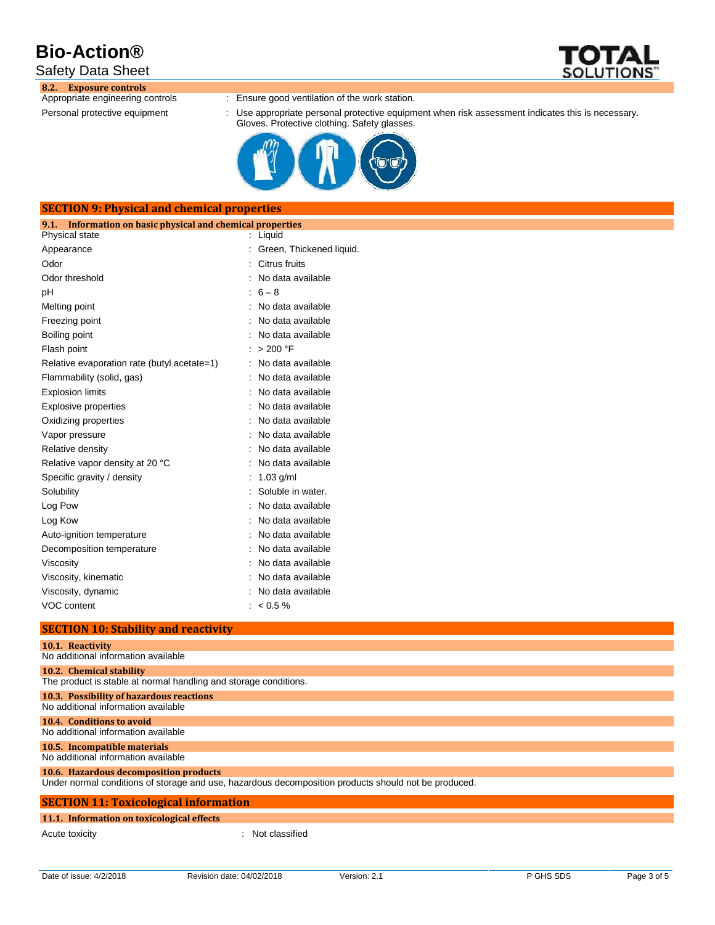## Safety Data Sheet

**8.2. Exposure controls**

- : Ensure good ventilation of the work station.
- Personal protective equipment : Use appropriate personal protective equipment when risk assessment indicates this is necessary. Gloves. Protective clothing. Safety glasses.



| <b>SECTION 9: Physical and chemical properties</b>            |                          |  |  |  |  |
|---------------------------------------------------------------|--------------------------|--|--|--|--|
| Information on basic physical and chemical properties<br>9.1. |                          |  |  |  |  |
| Physical state                                                | : Liquid                 |  |  |  |  |
| Appearance                                                    | Green, Thickened liquid. |  |  |  |  |
| Odor                                                          | Citrus fruits            |  |  |  |  |
| Odor threshold                                                | No data available        |  |  |  |  |
| pH                                                            | $6 - 8$                  |  |  |  |  |
| Melting point                                                 | No data available        |  |  |  |  |
| Freezing point                                                | No data available        |  |  |  |  |
| Boiling point                                                 | No data available        |  |  |  |  |
| Flash point                                                   | > 200 °F                 |  |  |  |  |
| Relative evaporation rate (butyl acetate=1)                   | No data available        |  |  |  |  |
| Flammability (solid, gas)                                     | No data available        |  |  |  |  |
| <b>Explosion limits</b>                                       | No data available        |  |  |  |  |
| <b>Explosive properties</b>                                   | No data available        |  |  |  |  |
| Oxidizing properties                                          | No data available        |  |  |  |  |
| Vapor pressure                                                | No data available        |  |  |  |  |
| Relative density                                              | No data available        |  |  |  |  |
| Relative vapor density at 20 °C                               | No data available        |  |  |  |  |
| Specific gravity / density                                    | $1.03$ g/ml              |  |  |  |  |
| Solubility                                                    | Soluble in water.        |  |  |  |  |
| Log Pow                                                       | No data available        |  |  |  |  |
| Log Kow                                                       | No data available        |  |  |  |  |
| Auto-ignition temperature                                     | No data available        |  |  |  |  |
| Decomposition temperature                                     | No data available        |  |  |  |  |
| Viscosity                                                     | No data available        |  |  |  |  |
| Viscosity, kinematic                                          | No data available        |  |  |  |  |
| Viscosity, dynamic                                            | No data available        |  |  |  |  |
| VOC content                                                   | $: 60.5\%$               |  |  |  |  |

#### **SECTION 10: Stability and reactivity**

| 10.1. Reactivity                                                                                     |  |  |  |  |
|------------------------------------------------------------------------------------------------------|--|--|--|--|
| No additional information available                                                                  |  |  |  |  |
|                                                                                                      |  |  |  |  |
| 10.2. Chemical stability                                                                             |  |  |  |  |
| The product is stable at normal handling and storage conditions.                                     |  |  |  |  |
| 10.3. Possibility of hazardous reactions                                                             |  |  |  |  |
| No additional information available                                                                  |  |  |  |  |
| 10.4. Conditions to avoid                                                                            |  |  |  |  |
| No additional information available                                                                  |  |  |  |  |
| 10.5. Incompatible materials                                                                         |  |  |  |  |
| No additional information available                                                                  |  |  |  |  |
| 10.6. Hazardous decomposition products                                                               |  |  |  |  |
| Under normal conditions of storage and use, hazardous decomposition products should not be produced. |  |  |  |  |
|                                                                                                      |  |  |  |  |
| <b>SECTION 11: Toxicological information</b>                                                         |  |  |  |  |
| 11.1. Information on toxicological effects                                                           |  |  |  |  |
| Acute toxicity<br>Not classified                                                                     |  |  |  |  |

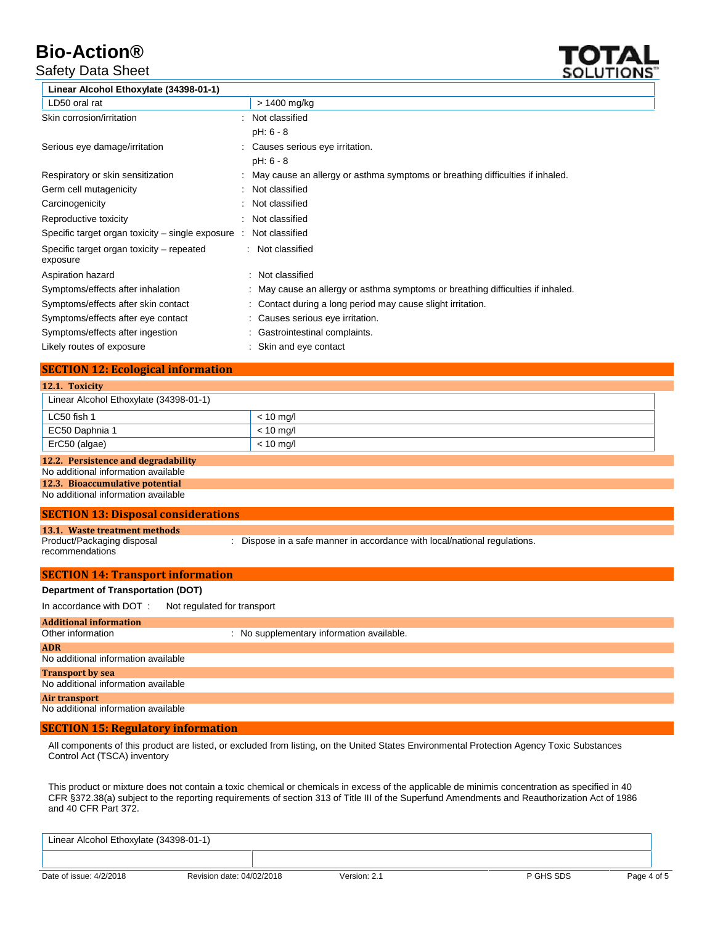## Safety Data Sheet



| Linear Alcohol Ethoxylate (34398-01-1)                |                                                                                 |
|-------------------------------------------------------|---------------------------------------------------------------------------------|
| LD50 oral rat                                         | > 1400 mg/kg                                                                    |
| Skin corrosion/irritation                             | Not classified                                                                  |
|                                                       | pH: 6 - 8                                                                       |
| Serious eye damage/irritation                         | Causes serious eye irritation.                                                  |
|                                                       | pH: 6 - 8                                                                       |
| Respiratory or skin sensitization                     | May cause an allergy or asthma symptoms or breathing difficulties if inhaled.   |
| Germ cell mutagenicity                                | Not classified                                                                  |
| Carcinogenicity                                       | Not classified                                                                  |
| Reproductive toxicity                                 | Not classified                                                                  |
| Specific target organ toxicity $-$ single exposure :  | Not classified                                                                  |
| Specific target organ toxicity – repeated<br>exposure | : Not classified                                                                |
| Aspiration hazard                                     | : Not classified                                                                |
| Symptoms/effects after inhalation                     | : May cause an allergy or asthma symptoms or breathing difficulties if inhaled. |
| Symptoms/effects after skin contact                   | : Contact during a long period may cause slight irritation.                     |
| Symptoms/effects after eye contact                    | : Causes serious eye irritation.                                                |
| Symptoms/effects after ingestion                      | : Gastrointestinal complaints.                                                  |
| Likely routes of exposure                             | : Skin and eye contact                                                          |

### **SECTION 12: Ecological information**

| 12.1. Toxicity                                                                                                                                       |                                                                         |
|------------------------------------------------------------------------------------------------------------------------------------------------------|-------------------------------------------------------------------------|
| Linear Alcohol Ethoxylate (34398-01-1)                                                                                                               |                                                                         |
| LC50 fish 1                                                                                                                                          | $< 10$ mg/l                                                             |
| EC50 Daphnia 1                                                                                                                                       | $< 10$ mg/l                                                             |
| ErC50 (algae)                                                                                                                                        | $< 10$ mg/l                                                             |
| 12.2. Persistence and degradability<br>No additional information available<br>12.3. Bioaccumulative potential<br>No additional information available |                                                                         |
| <b>SECTION 13: Disposal considerations</b>                                                                                                           |                                                                         |
| 13.1. Waste treatment methods<br>Product/Packaging disposal<br>recommendations                                                                       | Dispose in a safe manner in accordance with local/national regulations. |
| <b>SECTION 14: Transport information</b>                                                                                                             |                                                                         |
| <b>Department of Transportation (DOT)</b>                                                                                                            |                                                                         |
| In accordance with DOT:<br>Not regulated for transport                                                                                               |                                                                         |
| <b>Additional information</b><br>Other information                                                                                                   | : No supplementary information available.                               |
| <b>ADR</b>                                                                                                                                           |                                                                         |
| No additional information available                                                                                                                  |                                                                         |
| <b>Transport by sea</b><br>No additional information available                                                                                       |                                                                         |
| <b>Air transport</b><br>No additional information available                                                                                          |                                                                         |
| <b>SECTION 15: Regulatory information</b>                                                                                                            |                                                                         |

All components of this product are listed, or excluded from listing, on the United States Environmental Protection Agency Toxic Substances Control Act (TSCA) inventory

This product or mixture does not contain a toxic chemical or chemicals in excess of the applicable de minimis concentration as specified in 40 CFR §372.38(a) subject to the reporting requirements of section 313 of Title III of the Superfund Amendments and Reauthorization Act of 1986 and 40 CFR Part 372.

| Linear Alcohol Ethoxylate (34398-01-1) |                           |              |           |             |
|----------------------------------------|---------------------------|--------------|-----------|-------------|
|                                        |                           |              |           |             |
| Date of issue: 4/2/2018                | Revision date: 04/02/2018 | Version: 2.1 | P GHS SDS | Page 4 of 5 |